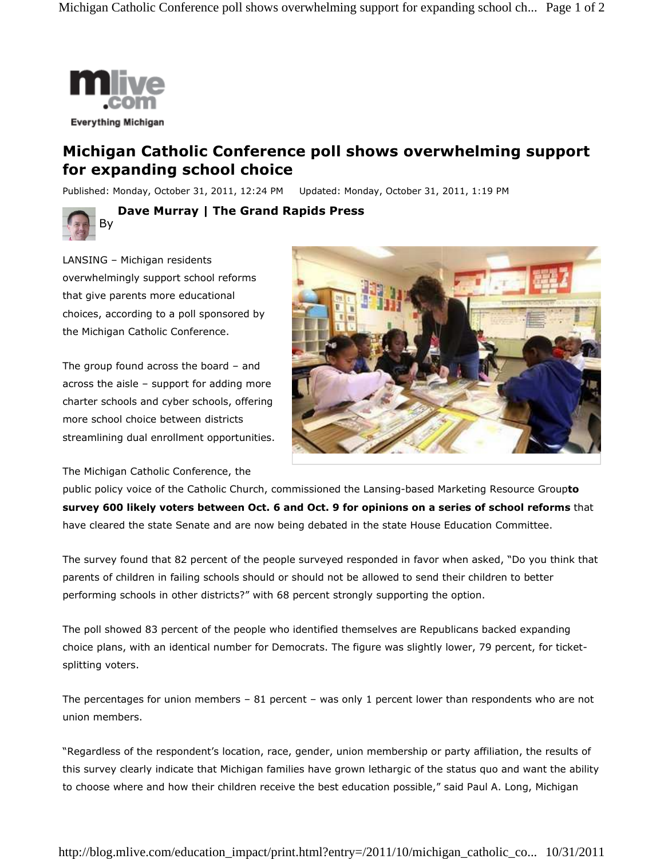

## **Michigan Catholic Conference poll shows overwhelming support for expanding school choice**

Published: Monday, October 31, 2011, 12:24 PM Updated: Monday, October 31, 2011, 1:19 PM



**Dave Murray | The Grand Rapids Press** 

LANSING – Michigan residents overwhelmingly support school reforms that give parents more educational choices, according to a poll sponsored by the Michigan Catholic Conference.

The group found across the board – and across the aisle – support for adding more charter schools and cyber schools, offering more school choice between districts streamlining dual enrollment opportunities.

The Michigan Catholic Conference, the



public policy voice of the Catholic Church, commissioned the Lansing-based Marketing Resource Group**to survey 600 likely voters between Oct. 6 and Oct. 9 for opinions on a series of school reforms** that have cleared the state Senate and are now being debated in the state House Education Committee.

The survey found that 82 percent of the people surveyed responded in favor when asked, "Do you think that parents of children in failing schools should or should not be allowed to send their children to better performing schools in other districts?" with 68 percent strongly supporting the option.

The poll showed 83 percent of the people who identified themselves are Republicans backed expanding choice plans, with an identical number for Democrats. The figure was slightly lower, 79 percent, for ticketsplitting voters.

The percentages for union members – 81 percent – was only 1 percent lower than respondents who are not union members.

"Regardless of the respondent's location, race, gender, union membership or party affiliation, the results of this survey clearly indicate that Michigan families have grown lethargic of the status quo and want the ability to choose where and how their children receive the best education possible," said Paul A. Long, Michigan